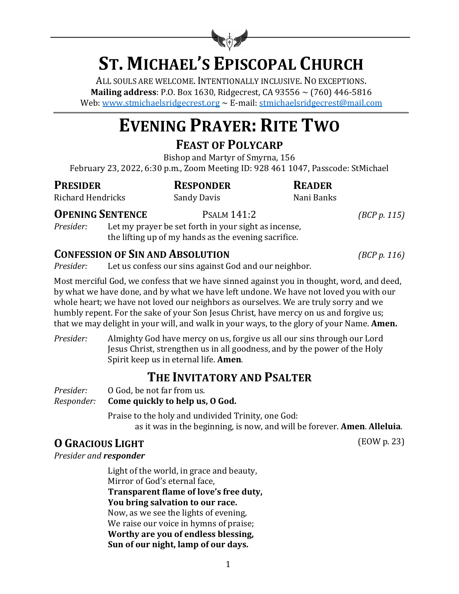

# **ST. MICHAEL'S EPISCOPAL CHURCH**

ALL SOULS ARE WELCOME. INTENTIONALLY INCLUSIVE. NO EXCEPTIONS. **Mailing address**: P.O. Box 1630, Ridgecrest, CA 93556  $\sim$  (760) 446-5816 Web: www.stmichaelsridgecrest.org  $\sim$  E-mail: stmichaelsridgecrest@mail.com

# **EVENING PRAYER: RITE TWO**

# **FEAST OF POLYCARP**

Bishop and Martyr of Smyrna, 156 February 23, 2022, 6:30 p.m., Zoom Meeting ID: 928 461 1047, Passcode: StMichael

**PRESIDER RESPONDER READER**

Richard Hendricks Sandy Davis Sandy Davis Nani Banks

**OPENING SENTENCE** PSALM 141:2 *(BCP p. 115)* 

*Presider:* Let my prayer be set forth in your sight as incense, the lifting up of my hands as the evening sacrifice.

#### **CONFESSION OF SIN AND ABSOLUTION** *(BCP p. 116)*

*Presider:* Let us confess our sins against God and our neighbor.

Most merciful God, we confess that we have sinned against you in thought, word, and deed, by what we have done, and by what we have left undone. We have not loved you with our whole heart; we have not loved our neighbors as ourselves. We are truly sorry and we humbly repent. For the sake of your Son Jesus Christ, have mercy on us and forgive us; that we may delight in your will, and walk in your ways, to the glory of your Name. **Amen.** 

*Presider:* Almighty God have mercy on us, forgive us all our sins through our Lord Jesus Christ, strengthen us in all goodness, and by the power of the Holy Spirit keep us in eternal life. **Amen**.

# **THE INVITATORY AND PSALTER**

*Presider:* 0 God, be not far from us.

*Responder:* **Come quickly to help us, O God.** 

Praise to the holy and undivided Trinity, one God: as it was in the beginning, is now, and will be forever. **Amen. Alleluia**.

### **O GRACIOUS LIGHT** (EOW p. 23)

*Presider and responder* 

Light of the world, in grace and beauty, Mirror of God's eternal face, **Transparent flame of love's free duty, You bring salvation to our race.** Now, as we see the lights of evening. We raise our voice in hymns of praise; **Worthy are you of endless blessing,** Sun of our night, lamp of our days.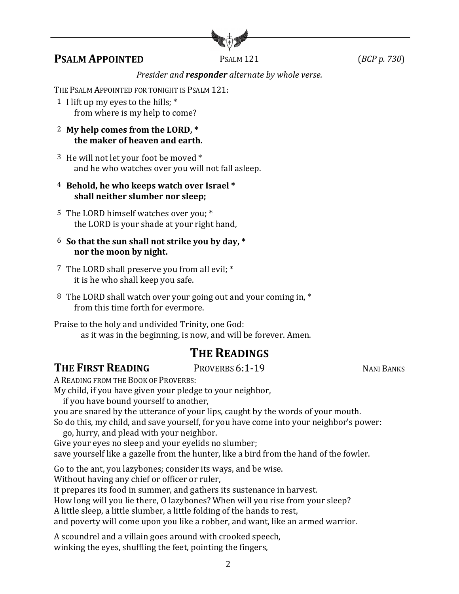

#### **PSALM APPOINTED** PSALM 121 (*BCP p. 730*)

#### *Presider and responder alternate by whole verse.*

THE PSALM APPOINTED FOR TONIGHT IS PSALM 121:

- 1 I lift up my eyes to the hills;  $*$ from where is my help to come?
- <sup>2</sup> My help comes from the LORD, \* **the maker of heaven and earth.**
- 3 He will not let your foot be moved \* and he who watches over you will not fall asleep.
- <sup>4</sup> Behold, he who keeps watch over Israel \* **shall neither slumber nor sleep:**
- 5 The LORD himself watches over you; \* the LORD is your shade at your right hand,

#### $6$  So that the sun shall not strike you by day,  $*$ **nor the moon by night.**

- 7 The LORD shall preserve you from all evil; \* it is he who shall keep you safe.
- 8 The LORD shall watch over your going out and your coming in,  $*$ from this time forth for evermore.

Praise to the holy and undivided Trinity, one God: as it was in the beginning, is now, and will be forever. Amen.

### **THE READINGS**

#### **THE FIRST READING** PROVERBS 6:1-19 NANI BANKS

A READING FROM THE BOOK OF PROVERBS:

My child, if you have given your pledge to your neighbor,

if you have bound yourself to another,

you are snared by the utterance of your lips, caught by the words of your mouth.

So do this, my child, and save yourself, for you have come into your neighbor's power:

go, hurry, and plead with your neighbor. Give your eyes no sleep and your eyelids no slumber;

save yourself like a gazelle from the hunter, like a bird from the hand of the fowler.

Go to the ant, you lazybones; consider its ways, and be wise. Without having any chief or officer or ruler, it prepares its food in summer, and gathers its sustenance in harvest. How long will you lie there, O lazybones? When will you rise from your sleep? A little sleep, a little slumber, a little folding of the hands to rest, and poverty will come upon you like a robber, and want, like an armed warrior.

A scoundrel and a villain goes around with crooked speech, winking the eyes, shuffling the feet, pointing the fingers,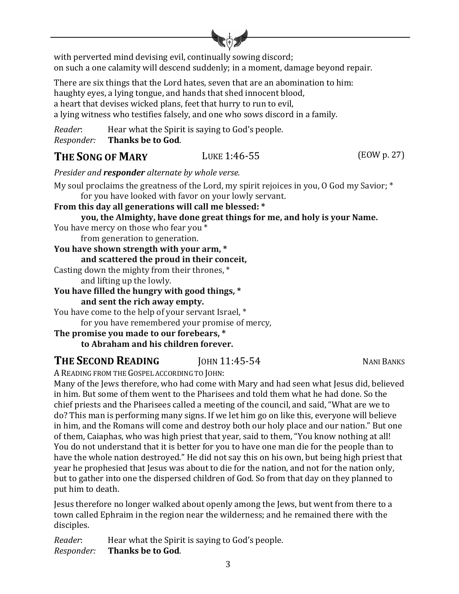with perverted mind devising evil, continually sowing discord; on such a one calamity will descend suddenly; in a moment, damage beyond repair.

There are six things that the Lord hates, seven that are an abomination to him: haughty eyes, a lying tongue, and hands that shed innocent blood, a heart that devises wicked plans, feet that hurry to run to evil, a lying witness who testifies falsely, and one who sows discord in a family.

*Reader*: Hear what the Spirit is saying to God's people. *Responder:* **Thanks be to God.** 

#### **THE SONG OF MARY** LUKE 1:46-55 (EOW p. 27)

*Presider and responder alternate by whole verse.* 

My soul proclaims the greatness of the Lord, my spirit rejoices in you, O God my Savior;  $*$ for you have looked with favor on your lowly servant. **From this day all generations will call me blessed: \* you, the Almighty, have done great things for me, and holy is your Name.** You have mercy on those who fear you \* from generation to generation. You have shown strength with your arm.  $*$ **and scattered the proud in their conceit,** Casting down the mighty from their thrones,  $*$ and lifting up the lowly. You have filled the hungry with good things,  $*$ **and sent the rich away empty.** You have come to the help of your servant Israel, \* for you have remembered your promise of mercy, **The promise you made to our forebears, \* to Abraham and his children forever.**

#### **THE SECOND READING** JOHN 11:45-54 NANI BANKS

A READING FROM THE GOSPEL ACCORDING TO JOHN:

Many of the Jews therefore, who had come with Mary and had seen what Jesus did, believed in him. But some of them went to the Pharisees and told them what he had done. So the chief priests and the Pharisees called a meeting of the council, and said, "What are we to do? This man is performing many signs. If we let him go on like this, everyone will believe in him, and the Romans will come and destroy both our holy place and our nation." But one of them, Caiaphas, who was high priest that year, said to them, "You know nothing at all! You do not understand that it is better for you to have one man die for the people than to have the whole nation destroyed." He did not say this on his own, but being high priest that year he prophesied that Jesus was about to die for the nation, and not for the nation only, but to gather into one the dispersed children of God. So from that day on they planned to put him to death.

Jesus therefore no longer walked about openly among the Jews, but went from there to a town called Ephraim in the region near the wilderness; and he remained there with the disciples.

*Reader*: Hear what the Spirit is saying to God's people. *Responder:* **Thanks be to God**.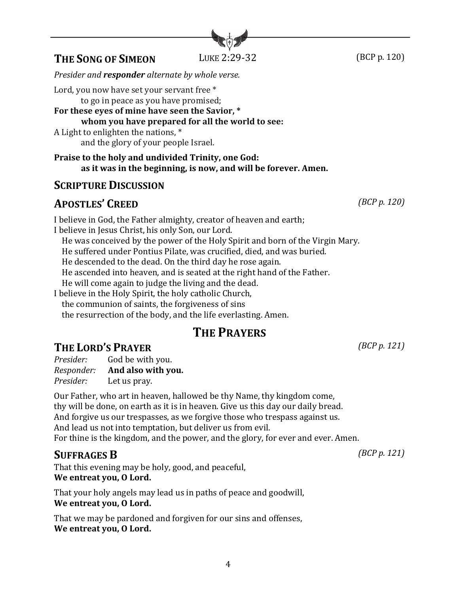4

#### **THE SONG OF SIMEON** LUKE 2:29-32 (BCP p. 120)

*Presider and responder alternate by whole verse.* 

Lord, you now have set your servant free \*

to go in peace as you have promised;

#### For these eyes of mine have seen the Savior, \* **whom** you have prepared for all the world to see: A Light to enlighten the nations,  $*$

and the glory of your people Israel.

**Praise to the holy and undivided Trinity, one God:** as it was in the beginning, is now, and will be forever. Amen.

#### **SCRIPTURE DISCUSSION**

#### **APOSTLES' CREED** *(BCP p. 120)*

I believe in God, the Father almighty, creator of heaven and earth;

I believe in Jesus Christ, his only Son, our Lord.

He was conceived by the power of the Holy Spirit and born of the Virgin Mary.

He suffered under Pontius Pilate, was crucified, died, and was buried.

He descended to the dead. On the third day he rose again.

He ascended into heaven, and is seated at the right hand of the Father.

He will come again to judge the living and the dead.

I believe in the Holy Spirit, the holy catholic Church,

the communion of saints, the forgiveness of sins

the resurrection of the body, and the life everlasting. Amen.

# **THE PRAYERS**

### **THE LORD'S PRAYER** *(BCP p. 121)*

*Presider:* God be with you. *Responder:* **And also with you.** *Presider:* Let us pray.

Our Father, who art in heaven, hallowed be thy Name, thy kingdom come, thy will be done, on earth as it is in heaven. Give us this day our daily bread. And forgive us our trespasses, as we forgive those who trespass against us. And lead us not into temptation, but deliver us from evil. For thine is the kingdom, and the power, and the glory, for ever and ever. Amen.

### **SUFFRAGES B** *(BCP p. 121)*

That this evening may be holy, good, and peaceful, We entreat you, O Lord.

That your holy angels may lead us in paths of peace and goodwill, We entreat you, O Lord.

That we may be pardoned and forgiven for our sins and offenses, We entreat you, O Lord.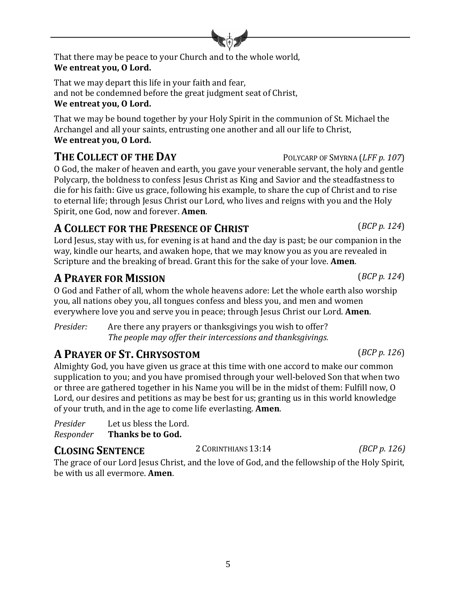That there may be peace to your Church and to the whole world, We entreat you, O Lord.

That we may depart this life in your faith and fear, and not be condemned before the great judgment seat of Christ, We entreat vou, O Lord.

That we may be bound together by your Holy Spirit in the communion of St. Michael the Archangel and all your saints, entrusting one another and all our life to Christ, We entreat you, O Lord.

#### **THE COLLECT OF THE DAY** POLYCARP OF SMYRNA (*LFF p.* 107)

O God, the maker of heaven and earth, you gave your venerable servant, the holy and gentle Polycarp, the boldness to confess Jesus Christ as King and Savior and the steadfastness to die for his faith: Give us grace, following his example, to share the cup of Christ and to rise to eternal life; through Jesus Christ our Lord, who lives and reigns with you and the Holy Spirit, one God, now and forever. **Amen.** 

#### **A COLLECT FOR THE PRESENCE OF CHRIST** (*BCP p. 124*)

Lord Jesus, stay with us, for evening is at hand and the day is past; be our companion in the way, kindle our hearts, and awaken hope, that we may know you as you are revealed in Scripture and the breaking of bread. Grant this for the sake of your love. **Amen**.

#### **A PRAYER FOR MISSION** (*BCP p.* 124)

O God and Father of all, whom the whole heavens adore: Let the whole earth also worship you, all nations obey you, all tongues confess and bless you, and men and women everywhere love you and serve you in peace; through Jesus Christ our Lord. Amen.

*Presider:* Are there any prayers or thanksgivings you wish to offer? *The people may offer their intercessions and thanksgivings.*

### **A PRAYER OF ST. CHRYSOSTOM** (*BCP p. 126*)

Almighty God, you have given us grace at this time with one accord to make our common supplication to you; and you have promised through your well-beloved Son that when two or three are gathered together in his Name you will be in the midst of them: Fulfill now, O Lord, our desires and petitions as may be best for us; granting us in this world knowledge of your truth, and in the age to come life everlasting. **Amen**.

*Presider* Let us bless the Lord. **Responder Thanks be to God.** 

#### **CLOSING SENTENCE** 2 CORINTHIANS 13:14 *(BCP p. 126)*

The grace of our Lord Jesus Christ, and the love of God, and the fellowship of the Holy Spirit, be with us all evermore. **Amen**.